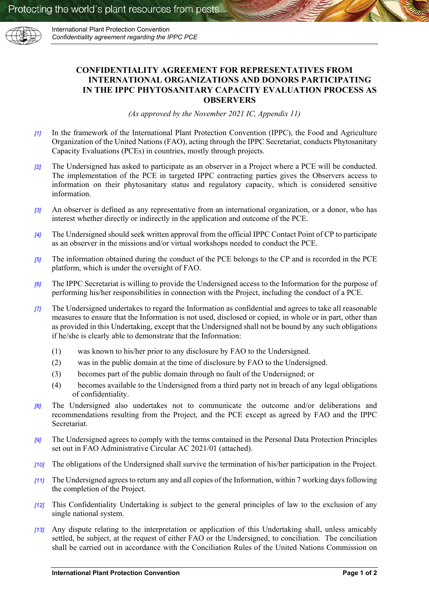

International Plant Protection Convention *Confidentiality agreement regarding the IPPC PCE* 

## **CONFIDENTIALITY AGREEMENT FOR REPRESENTATIVES FROM INTERNATIONAL ORGANIZATIONS AND DONORS PARTICIPATING IN THE IPPC PHYTOSANITARY CAPACITY EVALUATION PROCESS AS OBSERVERS**

*(As approved by the November 2021 IC, Appendix 11)*

- *[1]* In the framework of the International Plant Protection Convention (IPPC), the Food and Agriculture Organization of the United Nations (FAO), acting through the IPPC Secretariat, conducts Phytosanitary Capacity Evaluations (PCEs) in countries, mostly through projects.
- *[2]* The Undersigned has asked to participate as an observer in a Project where a PCE will be conducted. The implementation of the PCE in targeted IPPC contracting parties gives the Observers access to information on their phytosanitary status and regulatory capacity, which is considered sensitive information.
- *[3]* An observer is defined as any representative from an international organization, or a donor, who has interest whether directly or indirectly in the application and outcome of the PCE.
- *[4]* The Undersigned should seek written approval from the official IPPC Contact Point of CP to participate as an observer in the missions and/or virtual workshops needed to conduct the PCE.
- *[5]* The information obtained during the conduct of the PCE belongs to the CP and is recorded in the PCE platform, which is under the oversight of FAO.
- *[6]* The IPPC Secretariat is willing to provide the Undersigned access to the Information for the purpose of performing his/her responsibilities in connection with the Project, including the conduct of a PCE.
- *[7]* The Undersigned undertakes to regard the Information as confidential and agrees to take all reasonable measures to ensure that the Information is not used, disclosed or copied, in whole or in part, other than as provided in this Undertaking, except that the Undersigned shall not be bound by any such obligations if he/she is clearly able to demonstrate that the Information:
	- (1) was known to his/her prior to any disclosure by FAO to the Undersigned.
	- (2) was in the public domain at the time of disclosure by FAO to the Undersigned.
	- (3) becomes part of the public domain through no fault of the Undersigned; or
	- (4) becomes available to the Undersigned from a third party not in breach of any legal obligations of confidentiality.
- *[8]* The Undersigned also undertakes not to communicate the outcome and/or deliberations and recommendations resulting from the Project, and the PCE except as agreed by FAO and the IPPC Secretariat.
- *[9]* The Undersigned agrees to comply with the terms contained in the Personal Data Protection Principles set out in FAO Administrative Circular AC 2021/01 (attached).
- *[10]* The obligations of the Undersigned shall survive the termination of his/her participation in the Project.
- *[11]* The Undersigned agrees to return any and all copies of the Information, within 7 working days following the completion of the Project.
- *[12]* This Confidentiality Undertaking is subject to the general principles of law to the exclusion of any single national system.
- *[13]* Any dispute relating to the interpretation or application of this Undertaking shall, unless amicably settled, be subject, at the request of either FAO or the Undersigned, to conciliation. The conciliation shall be carried out in accordance with the Conciliation Rules of the United Nations Commission on